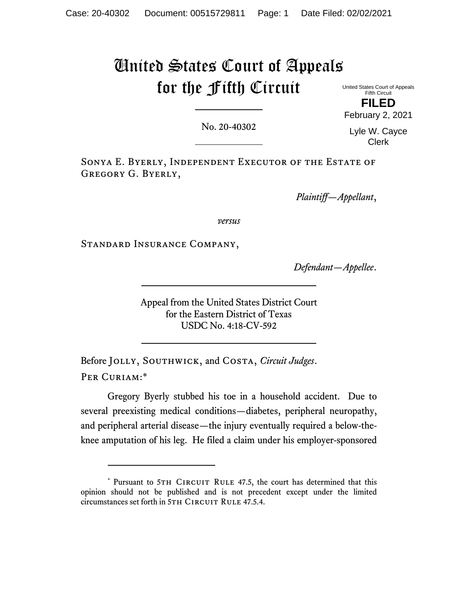## United States Court of Appeals for the Fifth Circuit

United States Court of Appeals Fifth Circuit **FILED**  February 2, 2021

No. 20-40302

Lyle W. Cayce Clerk

Sonya E. Byerly, Independent Executor of the Estate of Gregory G. Byerly,

*Plaintiff—Appellant*,

*versus*

Standard Insurance Company,

*Defendant—Appellee*.

Appeal from the United States District Court for the Eastern District of Texas USDC No. 4:18-CV-592

Before Jolly, Southwick, and Costa, *Circuit Judges*. Per Curiam:\*

 Gregory Byerly stubbed his toe in a household accident. Due to several preexisting medical conditions—diabetes, peripheral neuropathy, and peripheral arterial disease—the injury eventually required a below-theknee amputation of his leg. He filed a claim under his employer-sponsored

<sup>\*</sup> Pursuant to 5TH CIRCUIT RULE 47.5, the court has determined that this opinion should not be published and is not precedent except under the limited circumstances set forth in 5TH CIRCUIT RULE 47.5.4.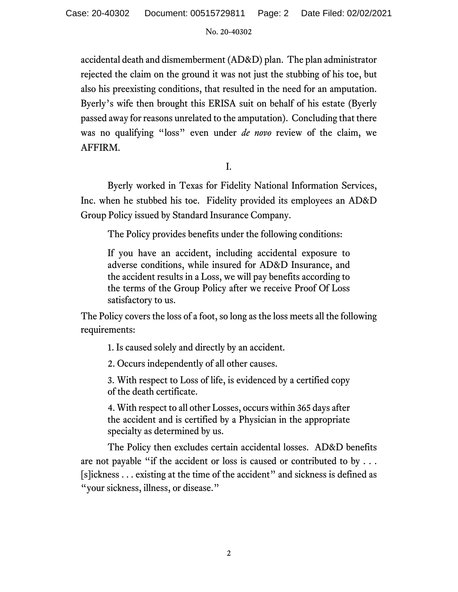accidental death and dismemberment (AD&D) plan. The plan administrator rejected the claim on the ground it was not just the stubbing of his toe, but also his preexisting conditions, that resulted in the need for an amputation. Byerly's wife then brought this ERISA suit on behalf of his estate (Byerly passed away for reasons unrelated to the amputation). Concluding that there was no qualifying "loss" even under *de novo* review of the claim, we AFFIRM.

I.

Byerly worked in Texas for Fidelity National Information Services, Inc. when he stubbed his toe. Fidelity provided its employees an AD&D Group Policy issued by Standard Insurance Company.

The Policy provides benefits under the following conditions:

If you have an accident, including accidental exposure to adverse conditions, while insured for AD&D Insurance, and the accident results in a Loss, we will pay benefits according to the terms of the Group Policy after we receive Proof Of Loss satisfactory to us.

The Policy covers the loss of a foot, so long as the loss meets all the following requirements:

1. Is caused solely and directly by an accident.

2. Occurs independently of all other causes.

3. With respect to Loss of life, is evidenced by a certified copy of the death certificate.

4. With respect to all other Losses, occurs within 365 days after the accident and is certified by a Physician in the appropriate specialty as determined by us.

The Policy then excludes certain accidental losses. AD&D benefits are not payable "if the accident or loss is caused or contributed to by . . . [s]ickness . . . existing at the time of the accident" and sickness is defined as "your sickness, illness, or disease."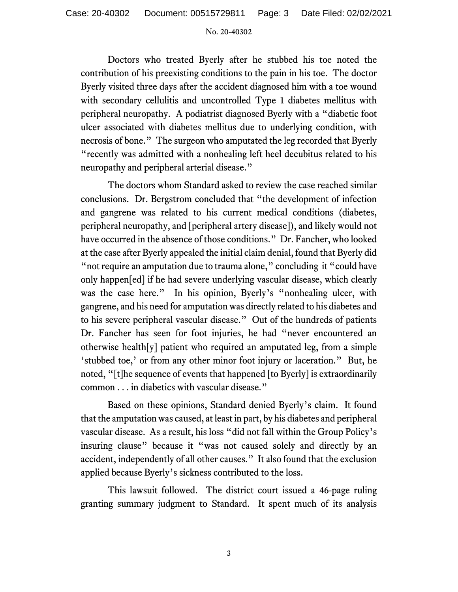Doctors who treated Byerly after he stubbed his toe noted the contribution of his preexisting conditions to the pain in his toe. The doctor Byerly visited three days after the accident diagnosed him with a toe wound with secondary cellulitis and uncontrolled Type 1 diabetes mellitus with peripheral neuropathy. A podiatrist diagnosed Byerly with a "diabetic foot ulcer associated with diabetes mellitus due to underlying condition, with necrosis of bone." The surgeon who amputated the leg recorded that Byerly "recently was admitted with a nonhealing left heel decubitus related to his neuropathy and peripheral arterial disease."

The doctors whom Standard asked to review the case reached similar conclusions. Dr. Bergstrom concluded that "the development of infection and gangrene was related to his current medical conditions (diabetes, peripheral neuropathy, and [peripheral artery disease]), and likely would not have occurred in the absence of those conditions." Dr. Fancher, who looked at the case after Byerly appealed the initial claim denial, found that Byerly did " not require an amputation due to trauma alone," concluding it "could have only happen[ed] if he had severe underlying vascular disease, which clearly was the case here." In his opinion, Byerly's "nonhealing ulcer, with gangrene, and his need for amputation was directly related to his diabetes and to his severe peripheral vascular disease." Out of the hundreds of patients Dr. Fancher has seen for foot injuries, he had "never encountered an otherwise health[y] patient who required an amputated leg, from a simple 'stubbed toe,' or from any other minor foot injury or laceration." But, he noted, "[t]he sequence of events that happened [to Byerly] is extraordinarily common . . . in diabetics with vascular disease."

Based on these opinions, Standard denied Byerly's claim. It found that the amputation was caused, at least in part, by his diabetes and peripheral vascular disease. As a result, his loss "did not fall within the Group Policy's insuring clause" because it "was not caused solely and directly by an accident, independently of all other causes." It also found that the exclusion applied because Byerly's sickness contributed to the loss.

 This lawsuit followed. The district court issued a 46-page ruling granting summary judgment to Standard. It spent much of its analysis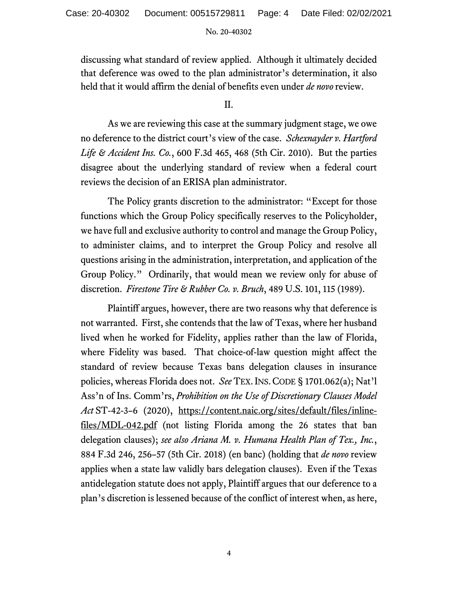discussing what standard of review applied. Although it ultimately decided that deference was owed to the plan administrator's determination, it also held that it would affirm the denial of benefits even under *de novo* review.

 $II$ .

 As we are reviewing this case at the summary judgment stage, we owe no deference to the district court's view of the case. *Schexnayder v. Hartford Life & Accident Ins. Co.*, 600 F.3d 465, 468 (5th Cir. 2010). But the parties disagree about the underlying standard of review when a federal court reviews the decision of an ERISA plan administrator.

 The Policy grants discretion to the administrator: "Except for those functions which the Group Policy specifically reserves to the Policyholder, we have full and exclusive authority to control and manage the Group Policy, to administer claims, and to interpret the Group Policy and resolve all questions arising in the administration, interpretation, and application of the Group Policy." Ordinarily, that would mean we review only for abuse of discretion. *Firestone Tire & Rubber Co. v. Bruch*, 489 U.S. 101, 115 (1989).

Plaintiff argues, however, there are two reasons why that deference is not warranted. First, she contends that the law of Texas, where her husband lived when he worked for Fidelity, applies rather than the law of Florida, where Fidelity was based. That choice-of-law question might affect the standard of review because Texas bans delegation clauses in insurance policies, whereas Florida does not. *See* TEX. INS.CODE § 1701.062(a); Nat'l Ass'n of Ins. Comm'rs, *Prohibition on the Use of Discretionary Clauses Model Act* ST-42-3–6 (2020), https://content.naic.org/sites/default/files/inlinefiles/MDL-042.pdf (not listing Florida among the 26 states that ban delegation clauses); *see also Ariana M. v. Humana Health Plan of Tex., Inc.*, 884 F.3d 246, 256–57 (5th Cir. 2018) (en banc) (holding that *de novo* review applies when a state law validly bars delegation clauses). Even if the Texas antidelegation statute does not apply, Plaintiff argues that our deference to a plan's discretion is lessened because of the conflict of interest when, as here,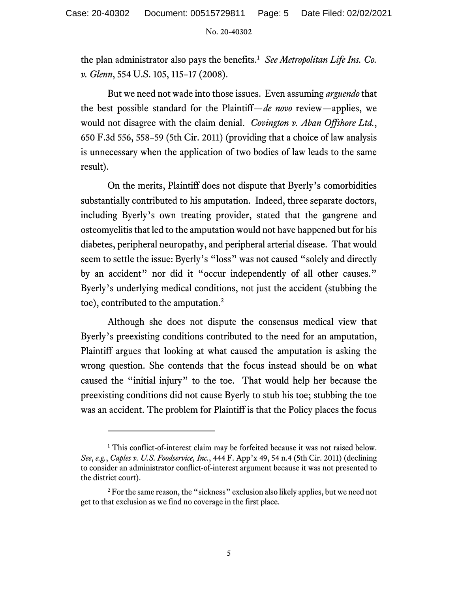the plan administrator also pays the benefits.<sup>1</sup> See Metropolitan Life Ins. Co. *v. Glenn*, 554 U.S. 105, 115–17 (2008).

 But we need not wade into those issues. Even assuming *arguendo* that the best possible standard for the Plaintiff—*de novo* review—applies, we would not disagree with the claim denial. *Covington v. Aban Offshore Ltd.*, 650 F.3d 556, 558–59 (5th Cir. 2011) (providing that a choice of law analysis is unnecessary when the application of two bodies of law leads to the same result).

On the merits, Plaintiff does not dispute that Byerly's comorbidities substantially contributed to his amputation. Indeed, three separate doctors, including Byerly's own treating provider, stated that the gangrene and osteomyelitis that led to the amputation would not have happened but for his diabetes, peripheral neuropathy, and peripheral arterial disease. That would seem to settle the issue: Byerly's "loss" was not caused "solely and directly by an accident" nor did it "occur independently of all other causes." Byerly's underlying medical conditions, not just the accident (stubbing the toe), contributed to the amputation. $2$ 

 Although she does not dispute the consensus medical view that Byerly's preexisting conditions contributed to the need for an amputation, Plaintiff argues that looking at what caused the amputation is asking the wrong question. She contends that the focus instead should be on what caused the "initial injury" to the toe. That would help her because the preexisting conditions did not cause Byerly to stub his toe; stubbing the toe was an accident. The problem for Plaintiff is that the Policy places the focus

<sup>&</sup>lt;sup>1</sup> This conflict-of-interest claim may be forfeited because it was not raised below. *See*, *e.g.*, *Caples v. U.S. Foodservice, Inc.*, 444 F. App'x 49, 54 n.4 (5th Cir. 2011) (declining to consider an administrator conflict-of-interest argument because it was not presented to the district court).

 $2^2$  For the same reason, the "sickness" exclusion also likely applies, but we need not get to that exclusion as we find no coverage in the first place.